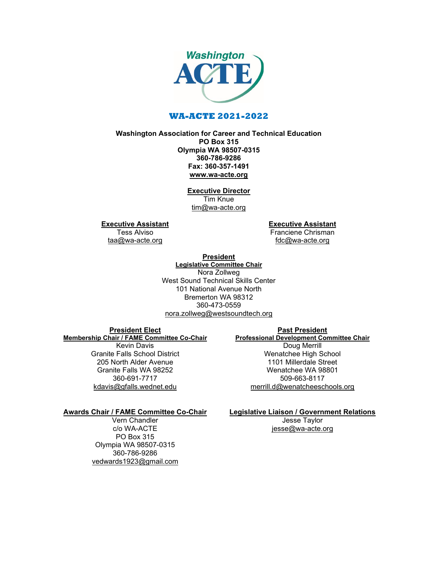

## **WA-ACTE 2021-2022**

## **Washington Association for Career and Technical Education PO Box 315 Olympia WA 98507-0315 360-786-9286 Fax: 360-357-1491 [www.wa-acte.org](http://www.wa-acte.org/)**

**Executive Director** Tim Knue [tim@wa-acte.org](mailto:tim@wa-acte.org)

**Executive Assistant**

Tess Alviso [taa@wa-acte.org](mailto:taa@wa-acte.org) **Executive Assistant** Franciene Chrisman

[fdc@wa-acte.org](mailto:fdc@wa-acte.org)

#### **President Legislative Committee Chair**

Nora Zollweg West Sound Technical Skills Center 101 National Avenue North Bremerton WA 98312 360-473-0559 [nora.zollweg@westsoundtech.org](mailto:nora.zollweg@westsoundtech.org)

### **President Elect Membership Chair / FAME Committee Co-Chair**

Kevin Davis Granite Falls School District 205 North Alder Avenue Granite Falls WA 98252 360-691-7717 [kdavis@gfalls.wednet.edu](mailto:kdavis@gfalls.wednet.edu)

# **Past President Professional Development Committee Chair** Doug Merrill Wenatchee High School 1101 Millerdale Street Wenatchee WA 98801 509-663-8117 [merrill.d@wenatcheeschools.org](mailto:merrill.d@wenatcheeschools.org)

## **Awards Chair / FAME Committee Co-Chair**

Vern Chandler c/o WA-ACTE PO Box 315 Olympia WA 98507-0315 360-786-9286 [vedwards1923@gmail.com](mailto:vedwards1923@gmail.com) **Legislative Liaison / Government Relations** Jesse Taylor

[jesse@wa-acte.org](mailto:jesse@wa-acte.org)